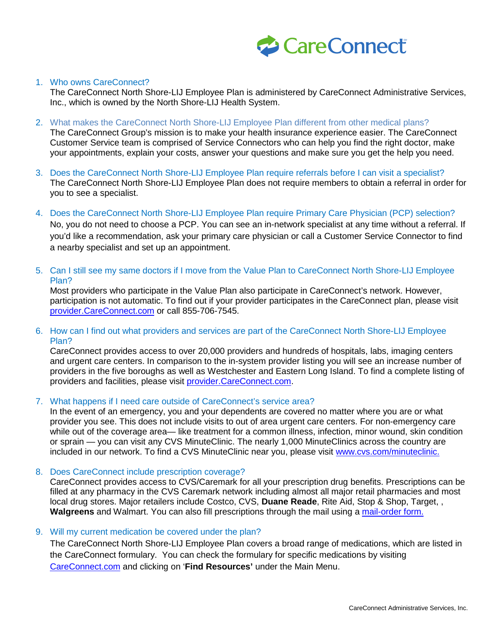

## 1. Who owns CareConnect?

The CareConnect North Shore-LIJ Employee Plan is administered by CareConnect Administrative Services, Inc., which is owned by the North Shore-LIJ Health System.

2. What makes the CareConnect North Shore-LIJ Employee Plan different from other medical plans?

The CareConnect Group's mission is to make your health insurance experience easier. The CareConnect Customer Service team is comprised of Service Connectors who can help you find the right doctor, make your appointments, explain your costs, answer your questions and make sure you get the help you need.

- 3. Does the CareConnect North Shore-LIJ Employee Plan require referrals before I can visit a specialist? The CareConnect North Shore-LIJ Employee Plan does not require members to obtain a referral in order for you to see a specialist.
- 4. Does the CareConnect North Shore-LIJ Employee Plan require Primary Care Physician (PCP) selection?

No, you do not need to choose a PCP. You can see an in-network specialist at any time without a referral. If you'd like a recommendation, ask your primary care physician or call a Customer Service Connector to find a nearby specialist and set up an appointment.

5. Can I still see my same doctors if I move from the Value Plan to CareConnect North Shore-LIJ Employee Plan?

Most providers who participate in the Value Plan also participate in CareConnect's network. However, participation is not automatic. To find out if your provider participates in the CareConnect plan, please visit [provider.CareConnect.com](https://provider.careconnect.com/?_ga=1.114188229.375095431.1435763171) or call 855-706-7545.

6. How can I find out what providers and services are part of the CareConnect North Shore-LIJ Employee Plan?

CareConnect provides access to over 20,000 providers and hundreds of hospitals, labs, imaging centers and urgent care centers. In comparison to the in-system provider listing you will see an increase number of providers in the five boroughs as well as Westchester and Eastern Long Island. To find a complete listing of providers and facilities, please visit [provider.CareConnect.com.](http://www.provider.careconnect.com/)

### 7. What happens if I need care outside of CareConnect's service area?

In the event of an emergency, you and your dependents are covered no matter where you are or what provider you see. This does not include visits to out of area urgent care centers. For non-emergency care while out of the coverage area— like treatment for a common illness, infection, minor wound, skin condition or sprain — you can visit any [CVS MinuteClinic.](http://www.cvs.com/minuteclinic) The nearly 1,000 MinuteClinics across the country are included in our network. To find a CVS MinuteClinic near you, please visit [www.cvs.com/minuteclinic.](http://www.cvs.com/minuteclinic/clinic-locator)

8. Does CareConnect include prescription coverage?

CareConnect provides access to CVS/Caremark for all your prescription drug benefits. Prescriptions can be filled at any pharmacy in the CVS Caremark network including almost all major retail pharmacies and most local drug stores. Major retailers include Costco, CVS, **Duane Reade**, Rite Aid, Stop & Shop, Target, , **Walgreens** and Walmart. You can also fill prescriptions through the mail using a [mail-order form.](https://www.careconnect.com/media/1028/mailorderform-0812-mtp.pdf)

#### 9. Will my current medication be covered under the plan?

The CareConnect North Shore-LIJ Employee Plan covers a broad range of medications, which are listed in the CareConnect formulary. You can check the formulary for specific medications by visiting [CareConnect.com](http://www.careconnect.com/) and clicking on '**Find Resources'** under the Main Menu.